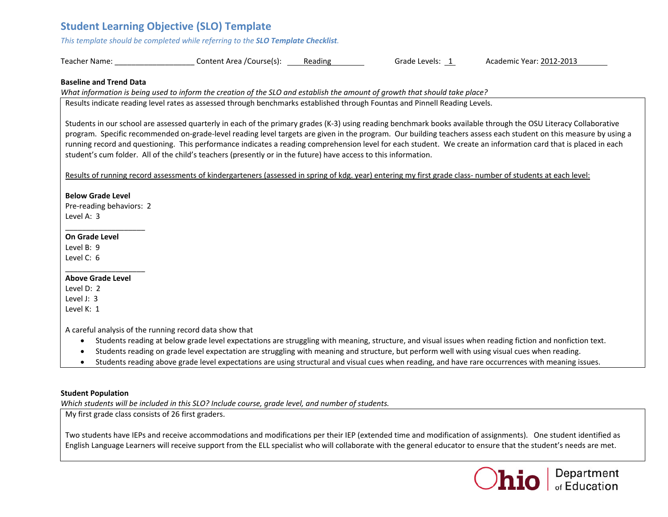# **Student Learning Objective (SLO) Template**

*This template should be completed while referring to the SLO Template Checklist.*

| Teacher Name: | Content Area /Course(s): | Reading | Grade Levels: | Academic Year: 2012-2013 |
|---------------|--------------------------|---------|---------------|--------------------------|
|---------------|--------------------------|---------|---------------|--------------------------|

## **Baseline and Trend Data**

What information is being used to inform the creation of the SLO and establish the amount of growth that should take place?

Results indicate reading level rates as assessed through benchmarks established through Fountas and Pinnell Reading Levels.

Students in our school are assessed quarterly in each of the primary grades (K‐3) using reading benchmark books available through the OSU Literacy Collaborative program. Specific recommended on‐grade‐level reading level targets are given in the program. Our building teachers assess each student on this measure by using <sup>a</sup> running record and questioning. This performance indicates <sup>a</sup> reading comprehension level for each student. We create an information card that is placed in each student's cum folder. All of the child's teachers (presently or in the future) have access to this information.

Results of running record assessments of kindergarteners (assessed in spring of kdg. year) entering my first grade class- number of students at each level:

# **Below Grade Level**

Pre‐reading behaviors: 2 Level A: 3

# **On Grade Level**

Level B: 9Level C: 6

# **Above Grade Level**

Level D: 2Level J: 3Level K: 1

A careful analysis of the running record data show that

- Students reading at below grade level expectations are struggling with meaning, structure, and visual issues when reading fiction and nonfiction text.
- . Students reading on grade level expectation are struggling with meaning and structure, but perform well with using visual cues when reading.
- $\bullet$ Students reading above grade level expectations are using structural and visual cues when reading, and have rare occurrences with meaning issues.

# **Student Population**

*Which students will be included in this SLO? Include course, grade level, and number of students.*

My first grade class consists of 26 first graders.

Two students have IEPs and receive accommodations and modifications per their IEP (extended time and modification of assignments). One student identified as English Language Learners will receive support from the ELL specialist who will collaborate with the general educator to ensure that the student's needs are met.

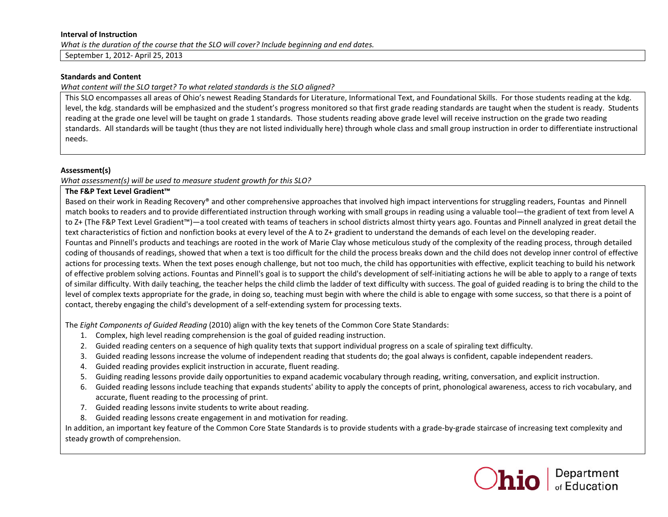#### **Interval of Instruction**

*What is the duration of the course that the SLO will cover? Include beginning and end dates.*

September 1, 2012‐ April 25, 2013

## **Standards and Content**

*What content will the SLO target? To what related standards is the SLO aligned?*

This SLO encompasses all areas of Ohio's newest Reading Standards for Literature, Informational Text, and Foundational Skills. For those students reading at the kdg. level, the kdg. standards will be emphasized and the student's progress monitored so that first grade reading standards are taught when the student is ready. Students reading at the grade one level will be taught on grade 1 standards. Those students reading above grade level will receive instruction on the grade two reading standards. All standards will be taught (thus they are not listed individually here) through whole class and small group instruction in order to differentiate instructional needs.

### **Assessment(s)**

*What assessment(s) will be used to measure student growth for this SLO?*

### **The F&P Text Level Gradient™**

Based on their work in Reading Recovery® and other comprehensive approaches that involved high impact interventions for struggling readers, Fountas and Pinnell match books to readers and to provide differentiated instruction through working with small groups in reading using <sup>a</sup> valuable tool—the gradient of text from level A to Z+ (The F&P Text Level Gradient™)—a tool created with teams of teachers in school districts almost thirty years ago. Fountas and Pinnell analyzed in great detail the text characteristics of fiction and nonfiction books at every level of the A to Z+ gradient to understand the demands of each level on the developing reader. Fountas and Pinnell's products and teachings are rooted in the work of Marie Clay whose meticulous study of the complexity of the reading process, through detailed coding of thousands of readings, showed that when <sup>a</sup> text is too difficult for the child the process breaks down and the child does not develop inner control of effective actions for processing texts. When the text poses enough challenge, but not too much, the child has opportunities with effective, explicit teaching to build his network of effective problem solving actions. Fountas and Pinnell's goal is to support the child's development of self‐initiating actions he will be able to apply to <sup>a</sup> range of texts of similar difficulty. With daily teaching, the teacher helps the child climb the ladder of text difficulty with success. The goal of guided reading is to bring the child to the level of complex texts appropriate for the grade, in doing so, teaching must begin with where the child is able to engage with some success, so that there is <sup>a</sup> point of contact, thereby engaging the child's development of <sup>a</sup> self‐extending system for processing texts.

The *Eight Components of Guided Reading* (2010) align with the key tenets of the Common Core State Standards:

- 1. Complex, high level reading comprehension is the goal of guided reading instruction.
- 2. Guided reading centers on <sup>a</sup> sequence of high quality texts that support individual progress on <sup>a</sup> scale of spiraling text difficulty.
- 3. Guided reading lessons increase the volume of independent reading that students do; the goal always is confident, capable independent readers.
- 4. Guided reading provides explicit instruction in accurate, fluent reading.
- 5. Guiding reading lessons provide daily opportunities to expand academic vocabulary through reading, writing, conversation, and explicit instruction.
- 6. Guided reading lessons include teaching that expands students' ability to apply the concepts of print, phonological awareness, access to rich vocabulary, and accurate, fluent reading to the processing of print.
- 7. Guided reading lessons invite students to write about reading.
- 8. Guided reading lessons create engagement in and motivation for reading.

In addition, an important key feature of the Common Core State Standards is to provide students with <sup>a</sup> grade‐by‐grade staircase of increasing text complexity and steady growth of comprehension.

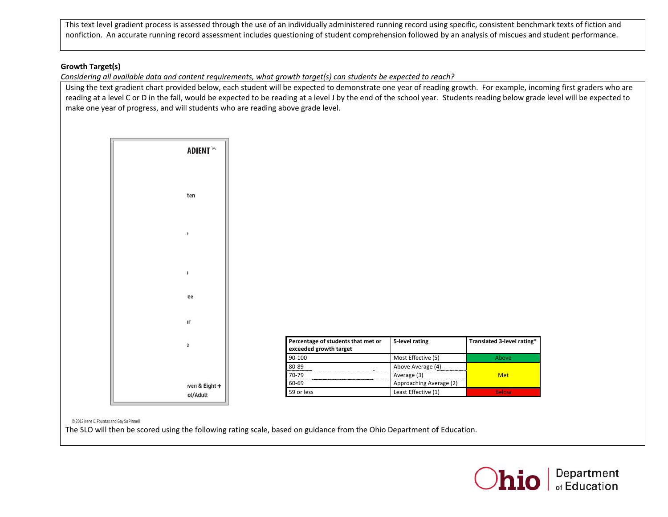This text level gradient process is assessed through the use of an individually administered running record using specific, consistent benchmark texts of fiction and nonfiction. An accurate running record assessment includes questioning of student comprehension followed by an analysis of miscues and student performance.

# **GGrowth Target(s)**

Considering all available data and content requirements, what growth target(s) can students be expected to reach?

Using the text gradient chart provided below, each student will be expected to demonstrate one year of reading growth. For example, incoming first graders who are reading at a level C or D in the fall, would be expected to be reading at a level J by the end of the school year. Students reading below grade level will be expected to make one year of progress, and will students who are reading above grade level.

|         |                                                                        | level gradient process is assessed through the use of an individually administered running record using specific, consistent benchm<br>1. An accurate running record assessment includes questioning of student comprehension followed by an analysis of miscues and s    |                         |                            |
|---------|------------------------------------------------------------------------|---------------------------------------------------------------------------------------------------------------------------------------------------------------------------------------------------------------------------------------------------------------------------|-------------------------|----------------------------|
| rget(s) |                                                                        | g all available data and content requirements, what growth target(s) can students be expected to reach?                                                                                                                                                                   |                         |                            |
|         | year of progress, and will students who are reading above grade level. | text gradient chart provided below, each student will be expected to demonstrate one year of reading growth. For example, incor<br>t a level C or D in the fall, would be expected to be reading at a level J by the end of the school year. Students reading below grade |                         |                            |
|         |                                                                        |                                                                                                                                                                                                                                                                           |                         |                            |
|         | <b>ADIENT™</b>                                                         |                                                                                                                                                                                                                                                                           |                         |                            |
|         |                                                                        |                                                                                                                                                                                                                                                                           |                         |                            |
|         | ten                                                                    |                                                                                                                                                                                                                                                                           |                         |                            |
|         |                                                                        |                                                                                                                                                                                                                                                                           |                         |                            |
|         |                                                                        |                                                                                                                                                                                                                                                                           |                         |                            |
|         |                                                                        |                                                                                                                                                                                                                                                                           |                         |                            |
|         |                                                                        |                                                                                                                                                                                                                                                                           |                         |                            |
|         | ee                                                                     |                                                                                                                                                                                                                                                                           |                         |                            |
|         | ۱г                                                                     |                                                                                                                                                                                                                                                                           |                         |                            |
|         | ÷                                                                      | Percentage of students that met or<br>exceeded growth target                                                                                                                                                                                                              | 5-level rating          | Translated 3-level rating* |
|         |                                                                        | 90-100                                                                                                                                                                                                                                                                    | Most Effective (5)      | Above                      |
|         |                                                                        | 80-89                                                                                                                                                                                                                                                                     | Above Average (4)       |                            |
|         |                                                                        | 70-79                                                                                                                                                                                                                                                                     | Average (3)             | <b>Met</b>                 |
|         | ven & Eight +                                                          | 60-69                                                                                                                                                                                                                                                                     | Approaching Average (2) |                            |
|         | ol/Adult                                                               | 59 or less                                                                                                                                                                                                                                                                | Least Effective (1)     | <b>Below</b>               |

© 2012 Irene C. Fountas and Gay S Su Pinnell

The SLO will then be scored using the following rating scale, based on guidance from the Ohio Department of Education.